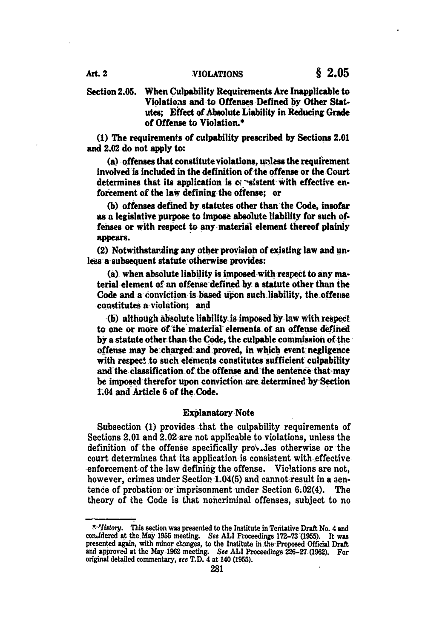Art. 2 **VIOLATIONS § 2.05**

Section **2.05.** When Culpability Requirements Are Inapplicable to Violations and to Offenses Defined **by** Other Statutes; Effect of Absolute Liability in Reducing Grade of Offense to Violation.\*

**(1)** The requirements of culpability prescribed **by** Sections 2.01 and 2.02 do not apply to:

 $(a)$  offenses that constitute violations, unless the requirement involved is included in the definition of the offense or the Court determines that its application is c( **"-slstent** with effective **en.** forcement of the law defining the **offense;** or

**(b)** offenses defined by statutes other than the Code, insofar as a legislative purpose to impose absolute liability for such offenses or with respect to any material element thereof plainly appears.

(2) Notwithstazding any other provision of existing law and unless **a** subsequent statute otherwise provides:

(a) when absolute liability is imposed with respect to any material element of an offense defined by a statute other than the Code and a conviction is based upon such liability, the offense constitutes a violation; and

**(b)** although-absolute liability is-imposed by law With respect to one or more of the material elements of an offense defined **by** a statute other than-the Code, the culpable commission of the offense may be charged and proved, in which event negligence with respect to such elements constitutes sufficient culpability and the classification of the offense and the sentence that-may be imposed-therefor upon conviction are determined-by Section 1.04 and Article **6** of the-Code.

# Explanatory Note

Subsection **(1)** provides that the culpability requirements of Sections 2.01 and 2.02 are not applicable to violations, unless the definition of the offense specifically provides otherwise or the court determines that its application is consistent with effective enforcement of the law defining the offense. Violations are not, however, crimes under Section 1.04(5) and cannot-result in a sentence of probation or imprisonment under Section 6.02(4). The theory of the Code is that noncriminal offenses, subject to no

<sup>\*-&#</sup>x27;Iistory. This section was presented to the Institute in Tentative Draft No. 4 and conudered at the May **1955** meeting. See **ALI** Froceedings **172-73 (1955).** It was presented again, with minor changes, to the Institute in the Proposed Official Draft and approved at the -May **1962** meeting. **See ALI** Proceedings 226-27 (1962). For original detailed commentary, see T.D. 4 at 140 **(1955).**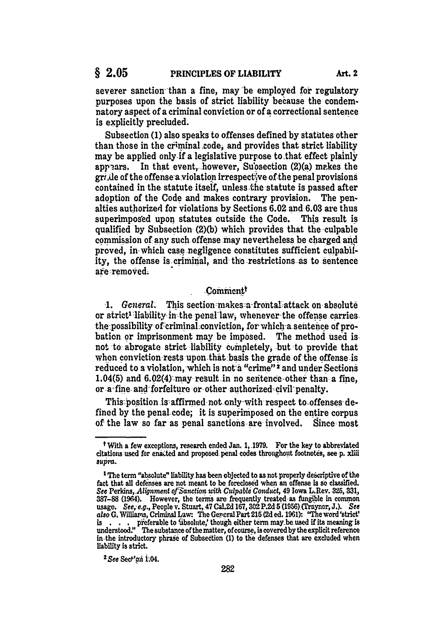severer sanction than a fine, may be employed for regulatory purposes upon the basis of strict liability because the condemnatory aspect of a criminal conviction or of a correctional sentence is explicitly precluded.

Subsection **(1)** also speaks to offenses defined by statutes other than those in the criminal code, and provides that strict liability may be applied only if a legislative purpose to that effect plainly appears. In that event, however, Su'osection  $(2)(a)$  makes the grile of the offense a violation irrespective of the penal provisions contained in the statute itself, unless the statute is passed after adoption of the Code and makes contrary provision. The penalties authorized for violations **by** Sections **6.02** and-6.03 are thus superimposed upon statutes outside the Code. This result is qualified **by** Subsection **(2)(b)** which provides that the culpable commission of any such offense may nevertheless be charged **and** proved, in which case negligence constitutes sufficient culpability, the offense is criminal, and the restrictions as to sentence **are** :removed.

# Comment<sup>†</sup>

1. *General.* This section makes a frontal attack on absolute or strict<sup>1</sup> liability in the penallaw, whenever the offense carries the-possibility of criminal conviction, for which **a** sentence of probation or imprisonment may be imposed. The method used is not to abrogate strict liability completely, but to provide that when conviction rests upon that basis the grade of the offense is reduced to a violation, which is not a "crime"<sup>2</sup> and under Sections 1.04(5) and 6.02(4) may re'sult in no seitence other than **a** fine, or a-fine and forfeiture or other authorized civil penalty.

This position is affirmed not only with respect to-offenses-defined **by** the penal code; it is superimposed on the entire corpus of the law so far as penal sanctions are involved. Since-most

<sup>2</sup> See Sect'gh 1:04.

**tWith a** few exceptions, research ended Jan. **1, 1979.** For the key to abbreviated citations used for **ena** ted and proposed penal codes throughout footnotes, see **p. xliii** *supra.*

<sup>&</sup>lt;sup>1</sup>The term "absolute" liability has been objected to as not properly descriptive of the fact that all defenses are not meant to be foreclosed when an offense is so classified. **See Perkins,** *Alignment of Sanction with Culpable Conduct, 49 Iowa L.Rev. 325, 331,* **387-88** (1964). However, the terns are frequently treated as fungible in common usage. *See, e.g.,* People v. Stuart, 47 Cal.2d **167,302 P.2d 5 (1950)** Craynor, **J.).** *See aso* G. Williams, Criminal **Law** The Gereral Part **215 (2d** ed. **1961):** 'The word **'strict'** is . . . preferable to 'ubsolute,' though either term may be used if its meaning is understood:' The substance of the matter, of course, is covered **by** the explicit reference in the introductory phrase of Subsection **(1)** to the defenses that are excluded when liability is strict.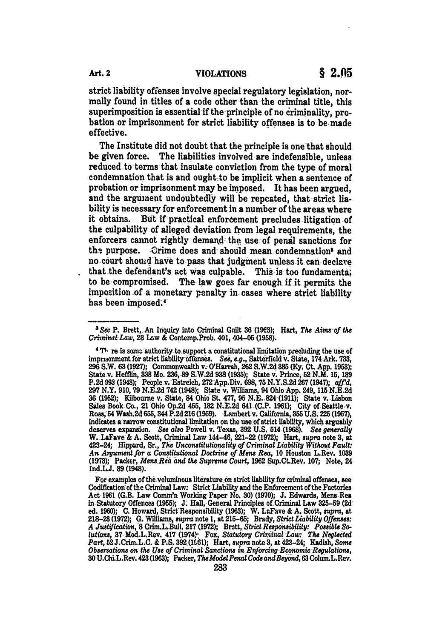strict liability offenses involve special regulatory legislation, normally found in titles of a code other than the criminal title, this superimposition is essential if the principle of no criminality, probation or imprisonment for strict liability offenses is to be made effective.

The Institute did not doubt that the principle is one that should be given force. The liabilities involved are indefensible, unless reduced to terms that insulate conviction from the type of moral condemnation that is and ought to be implicit when a sentence of probation or imprisonment may be imposed. It has been argued, and the argument undoubtedly will be repeated, that strict liability is necessary for enforcement in a number of the areas where it obtains. But if-practical enfordement precludes litigation of the culpability of alleged deviation from legal requirements, the enforcers cannot rightly demand the use of penal sanctions for the purpose. Grime does and should mean condemnation<sup>3</sup> and no court shoutd have to pass that judgment unless it can declare that the defendant's act was culpable. This is too fundamental to be compromised. The law goes far enough if it permits the imposition of a monetary penalty in cases where strict liability has been imposed.

<sup>&</sup>lt;sup>3</sup> See P. Brett, An Inquiry into Criminal Guilt 36 (1963); Hart, The Aims of the *Criminal Law,* 23 **Law &** Contemp.Prob. 401, 404-05 **(1958).**

**<sup>4</sup> T"** re is somn authority to-support a constitutional limitation precluding **the** use of imprisonment for strict liability offenses. See, e.g., Satterfield v. State, 174 Ark. 733, **<sup>296</sup>**S.W. **63 (1927);** Commonwealth v. O'Harrah, **262** S.W.2d **385 (Ky. Ct. App. 1953);** State v. Hefflin, **338** Mo. **236,-89 S.W.2d 938 (1%5);** State v. Prince, 52 N.M. **15, 189 P.2d 993 (1948);** People v. Estreich, 272 App.Div. **698, 75 N.Y.S.2d 267(1947);** *qff'd,* **<sup>297</sup>**N.Y. **910,79 N.E.2d** 742(1948); State v. **Williams,** 94 Ohio **App.** 249, **115 N.E.2d 36 (1952);** Kilbourne v. State, 84 Ohio **SL 477, 95 N.E. 824 (1911);** State v. Lisbon Sales Book-Co., 21 **Ohio Op.2d** 455, **182 N.E.2d** 641 **(C.P. 1961);** City of Seattlev. **Roas,64** Wash.2d 655, 344 P.2d 216(1959). **Lambert** v. California, **355 U.S. 225 (1957),** indicates a narrow constitutional limitation on the use of strict liability, which arguably deserves expansion. See also Powell v. Texas, 392 U.S. 514 (1968). See generally W. LaFave & A. Scott, Criminal Law 144–46, 221–22 423-24; Hippard, Sr., *The Unconstitutionality of Criminal Liability Without Fault An Argument for a Constitutional Doctrine of Mens Rea,* **10** Houston L.Rev. **<sup>1089</sup> (1973);** Packer, *Mens Rea and te Supreme Court,* 1962 Sup.Ct.Rev. **107;** Note, 24 Ind.LJ. **89** (1948).

For examples of the voluminous literature on strict liability for criminal offenses, see Codification of the Criminal Law: Strict Liability and the Enforcement of the Factories Act **1961** (G.B. Law Comm'n Working Paper No. **30) (1970); J.** Edwards, Mens **Rea** in Statutory Offences **(1955); J. Hall,** General Principles of Criminal Law **325-59 (2d** ed. **1960); C.** Howard, Strict Responsibility **(1963);** W. LaFave **& A.** Scott, *eupra,* at 218–23 (1972); G. Williams, supra note 1, at 215–65; Brady, Strict Liability Offenses:<br>A Justification, 8 Crim.L.Bull. 217 (1972); Brett, Strict Responsibility: Possible So*lutions,* **37** Mod.L.Rev. 417 (1974)" Fox, *Statutory Criminal Law: The Neglected Part,* 52J.Crim.L.C. **& P.S. 392\_(1l16);** Hart, *supra* note **8, at** 423-24; Kadish, *Some Observations on the Use of Criminal Sandions in Enforcing Economic Regulations,* 30 U.ChLL.Rev. 423(1963); Packer, *TheModel Penal Code andBeyond,* **63** Colum.L.Rev.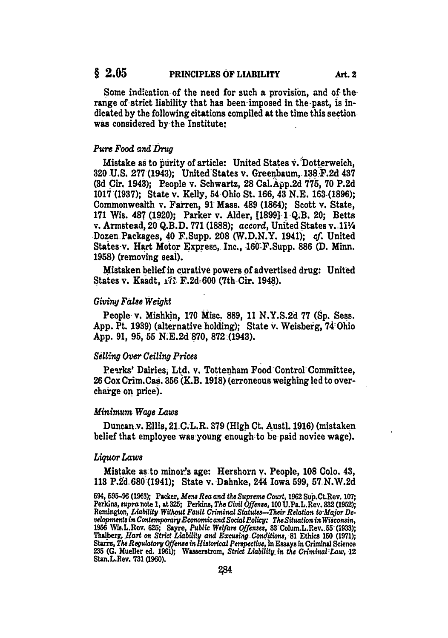# § 2.05 **PRINCIPLES OF LIABILITY Art. 2**

Some indication of the need for such a provision, and of the range of strict liability that has been imposed in the-past, **isin**dicated **by** the following citations compiled at the time this section was considered by the Institute:

## *Pure Food and Drug*

Mistake as to purity of article: United States v. Dotterweich, **320 U.S. 277 (1943);** United States v. Greenbaum, **138,F.2d** 437 **(3d** Cir. 1943); People v. Schwartz, **28** Cal.App.2d 775, **70 P.2d 1017(1937);** State v. Kelly, **54** Ohio St. **166, 43 N.E. 163-(1896);** Commonwealth v. Fairren, **91** Mass. 489 (1864); Scott v. State, **171** Wis. **487 (1920);** Parker v. Alder, **[1899] 1 Q.B.** 20; Betts v. Armatead, 20 **Q.B.D. 771 (1888);** *accord,* United States v. 11 Dozen Packages, 40 F.Supp. **208** (W.D.N.Y. 1941); *cf.* United States v. Hart Motor Express. Inc., 160 F.Supp. 886 (D. Minn. **1958)** (removing seal).

Mistaken belief in curative powers of advertised drug: United States v. Kaadt, 173, F.2d=600 (7th=Cir. 1948).

### *Giving False Weight*

People v. Mishkin, **170** Misc. **889,** 11 N.Y.S.2d **77** (Sp. Sess. App. Pt. **1939)** (alternative holding); State v. Weisberg, 74 Ohio App. **91, 95, 55** N.E.2d **870, 872-(1943).**

## *Selling Over Ceiling Prices*

Perks' Dairies, Ltd. v. Tottenham Food Control Committee, **26** Cox Crim.Cas. **356** (K.B. **1918)** (erroneous weighing led to overcharge on price).

#### *Minimum Wage* Laws

Duncan v. Ellis, 21 C.L.R. **379 (High** Ct. Austl. **1916)** (mistaken belief that employee was-young enough to be paid-novice wage).

#### *Liqor Laws*

Mistake as-to minor's age: Hershorn v. People, **108** Colo. 43, **113 P.2"d.680 (1941);** State v. Dahnke, 244 Iowa 599, 57 N.W.2d

<sup>594, 595–96 (1963);</sup> Packer, Mens Rea and the Supreme Court, 1962 Sup.Ct.Rev. 107;<br>Perkins, supra note 1, at 325; Perkins, The Civil Offense, 100 U.Pa.L.Rev. 832 (1952); **Remington,** *Liability Wit hout Fault Criminl Statut-Thir Relation to-Major De- ~lopnnin ContmporaryEconomic andSocalPolcj: The Situationin Wisconain,* **1956 Ws.L.Rev.** *625; Sayre, Public Welfare Of s, 33* **Cohun.L.Rev.** 65(1933); Thalberg, Hart on Strict Liability and Excusing Conditions, 81 Ethics 150 (1971);<br>Starrs, The Regulatory Offense in Historical Perspective, in Essays in Criminal Science 235 (G. Mueller ed. 1961); Wasserstrom, *Strict Liability* in the Criminal Law, 12 Stan.L.Rev. **731 (1960).**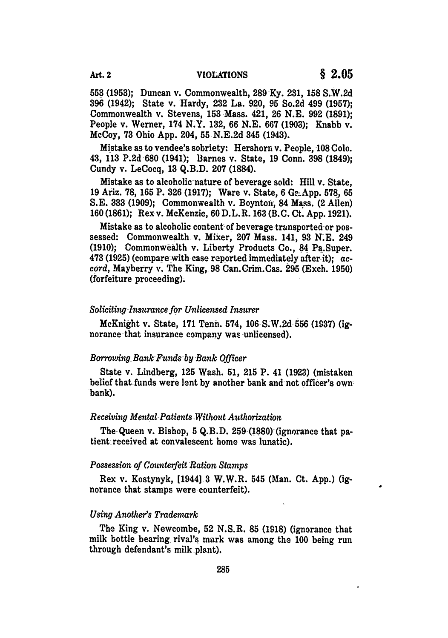**553 (1953);** Duncan v. Commonwealth, **289 Ky. 231, 158 S.W.2d 396** (1942); State v. Hardy, **232** La. **920, 95** So.2d 499 **(1957);** Commonwealth v. Stevens, **153** Mass. 421, **26 N.E. 992 (1891);** People v. Werner, 174 N.Y. **132, 66 N.E. 667 (1903);** Knabb v. McCoy, **73** Ohio **App.** 204, **55 N.E.2d** 345 (1943).

Mistake as to vendee's sobriety: Hershorn v. People, **108 Colo.** 43, **113 P.2d 680** (1941); Barnes v. State, **19** Conn. **398** (1849); Cundy v. LeCocq, **13 Q.B.D. 207 (1884).**

Mistake as to alcoholic nature of beverage sold: Hill v. State, **19** Ariz. **78, 165** P. **326 (1917);** Ware v. State, **6 G.-.App. 578, 65 S.E. 333 (1909);** Commonwealth v. Boyntofi, 84 Mass. (2 Allen) **160(1861);** Rex v. McKenzie, **60** D.L.R. **163** (B.C. Ct. **App. 1921).**

Mistake as to alcoholic content of beverage trunsported-or possessed: Commonwealth v. Mixer, **207** Mass. 141, **93 N.E.** 249 **(1910);** Commonwealth v. Liberty Products Co., 84 Pa.Super. **473 (1925)** (compare with case reported immediately after it); *accord,* Mayberry v. The King, 98 Can.Crim.Cas. **295** (Exch. **1950)** (forfeiture proceeding).

#### *Soliciting Insurance for Unlicensed Insurer*

McKnight v. State, **171** Tenn. 574, **106** S.W.2d **556 (1937)** (ignorance that insurance company **was** unlicensed).

#### *Borrowing Bank Funds by Bank Officer*

State v. Lindberg, **125** Wash. **51, 215** P. 41 **(1923)** (mistaken belief that funds were lent **by** another bank and not officer's own bank).

#### *Receiving Mental Patients Without Authorization*

The Queen v. Bishop, **5 Q.B.D. 259 (1880)** (ignorance that patient received at convalescent home was lunatic).

#### *Possession of Counterfeit Ration Stamps*

Rex v. Kostynyk, [1944] 3 W.W.R. 545 (Man. Ct. App.) (ignorance that stamps were counterfeit).

### *Using Another's Trademark*

The King v. Newcombe, **52** N.S.R. 85 (1918) (ignorance that milk bottle bearing rival's mark was among the 100 being run through defendant's milk plant).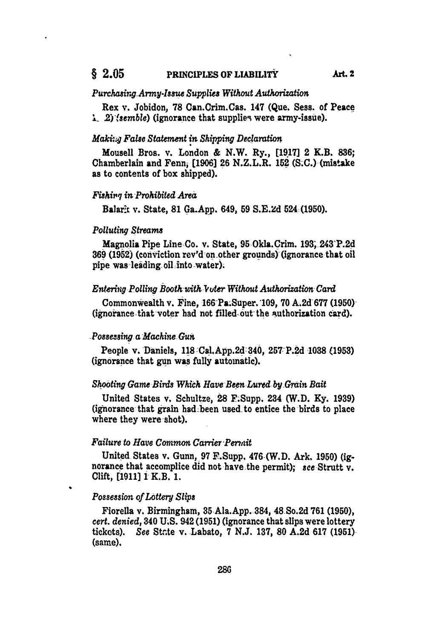# **§ 2.05** PRINCIPLES OF LIABILITY Art. 2

### *Purchasirg Army.Issue Supplies Without Authorization*

Rex v. Jobidon, **78** Can.Crim.Cas. 147 (Que. Sess. of Peace *1-* **2),** *,semble)* (ignorance that supplie9 were army-issue).

# *Maki:-. False Statement in Shipping Declaration*

Mousell Bros. v. London **&** N.W. Ry., **[1917]** 2 K.B. **836;** Chamberlain and Fenni **[1906] 26** N.Z.L.R. **152 (S.C.)** (mistake as to contents of box shipped).

### *Fishivq in Prohibited Area*

BalarkE v. State, **81** Ga.App. 649, **59 S.E.Zd** 524 **(1950).**

#### *Polluting Streams*

Magnolia Pipe Line Co. v. State, 95 Okla.Crim. 193, 243 P.2d **369 (1952)** (conviction rev'd-on other grounds)-(ignorance that oil pipe was-leading oil-into water).

### *Entetig Polling Booth with Vuter Without Authorization Card*

Commonwealth v. Fine, 166 Pa.Super. 109, **70 A.2d 677 (1950)** (ignorance that voter had not filled out the suthorization card).

## *Possessing a Machine Gun*

People v. Daniels, **118** Cal.App.2d 340, **251 P.2d 1038 (1953)** (ignorance that gun was fully automatic).

#### *Shooting Game Birds Which Have Been Lured by-Grain Bait*

United States v. Schultze, **28** F.Supp. 234 (W.D. **Ky. 1939)** (ignorance that grain had-been used-to entice the birds to place where they were-shot).

## *Failure to Have Common Carrier Permit*

United States v. Gunn, 97 F.Supp. 476 (W.D. Ark. 1950) (ignorance that accomplice did not have the permit); *see* Strutt v. Clift, [1911) 1 K.B. **1.**

# *Possession of Lottery Slips*

Fiorella v. Birmingham, 35 Ala.App. 384, 48 So.2d **761 (1950),** *cert. denied,* 340 U.S. 942 (1951) (ignorance that slips were lottery tickots). See State v. Labato, 7 N.J. 137, 80 A.2d 617 (1951). (same).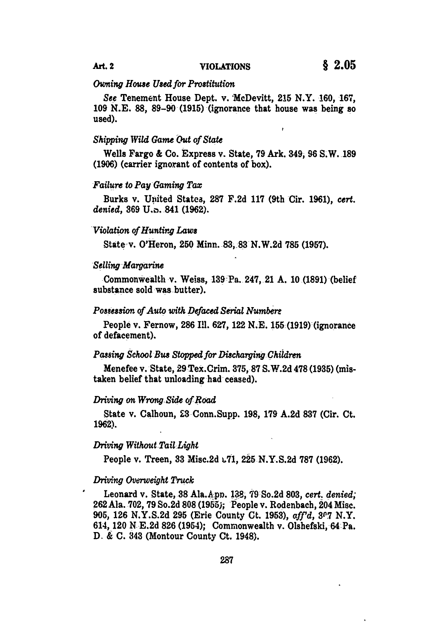### *Owning House Used for Prostitution*

*See* Tenement House Dept. v. McDevitt, 215 N.Y. **160, 167, 109 N.E. 88,** 89-90-(1915) (ignorance that house was being **so** used).

#### *Shipping Wild Game Out of State*

Wells Fargo & Co. Express v. State, **79** Ark. 349, **96** S.W. **189 (1906)** (carrier ignorant of contents of box).

#### *Failure to Pay Gaming Tax*

Burks v. United Statea, **287 F.2d 117** (9th Cir. **1961),** *cert. denied,* **369 U.z.** 841 **(1962).**

#### *Violation of Hunting Laws*

State-v. O'Heron, 250 Minn. *83,* **83 N.W.2d 785 (1957).**

#### *Selling Margarine*

Commonwealth v. Weiss, **139** Pa. 247, 21 A. 10 (1891) (belief substance sold was butter).

### *Possession of Auto with Defaced Serial Number*

People v. Fernow, **286** Ill. **627,** 122 **N.E. 155 (1919)** (ignorance of defacement).

# *Passing School Bus Stopped for Discharging Children*

Menefee v. State, **29** Tex.Crim. **375, 87 S.W.2d 478 (1935)** (mistaken belief that unloading had ceased).

#### *Driving on Wrong Side of Road*

State v. Calhoun, **£3** Conn.Supp. **198, 179 A.2d 837** (Cir. Ct. **1962).**

# *Driving Without Tail Light*

People v. Treen, **33** Misc.2d .71, **225 N.Y.S.2d 787 (1962).**

### *Driving Overweight Truck*

Leonard v. State, 38 Ala.A.pp. 132, 79-So.2d 803, cert. denied; **262** Ala. **702, 79** So.2d **808 (1955);** People v. Rodenbach, 204 Misc. **905, 126 N.Y.S.2d 295** (Erie County Ct. **1953),** *aff'd,* **3.7** N.Y. 614, 120 N **E.2d 826** (1954); Commonwealth v. Olshefski, 64-Pa. **D.** & **C. 343** (Montour County Ct. 1948).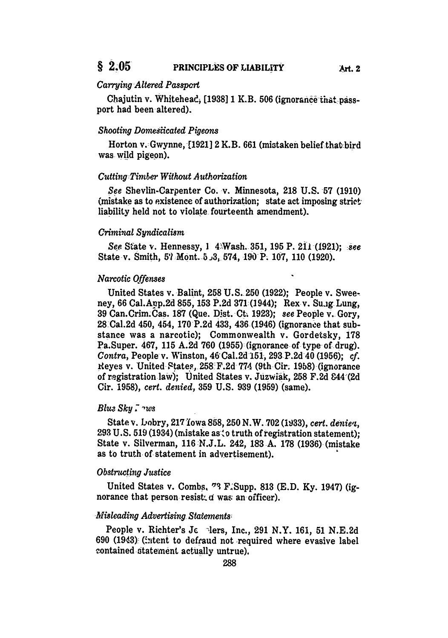# *Carrying Altered Passpcrt*

Chajutin v. Whitehead, [1938] 1 K.B. 506 (ignorance that passport had been altered).

### *Shooting Domesiicated Pigeons*

Horton v.-Gwynne, [1921] 2 K.B. 661 (mistaken belief that-bird was wild pigeon).

#### *Cutting Timber Without Authorization*

*See* Shevlin-Carpenter Co. v. Minnesota, **218 U.S. 57 (1910)**  $(mistake as to existence of authorization; state act imposing strict-  
tion$ liability held not to violate fourteenth amendment).

# *Criminal Syndicalism*

*See.* State v. Hennessy, **I** 4: Wash. 351, **195** P. 2il (1921); *-see* State v. Smith, **51** Mont. **53,** 574, 190 P. 107, 110 (1920).

#### *Narcotic Qffenses*

United States v. Balint, **258** U.S. **250** (1922); People v. Sweeney, 66 Cal.Anp.2d **855,** 153 P.2d **371** (1944); Rex v. Su.ig Lung, 39 Can.Crim.Cas. 187 (Que. Dist. Ct. 1923); *see* People v. Gory, 28-Cal.2d 450, 454, **170** P.2d 433, 436 (1946) (ignorance that substance was a narcotic); Commonwealth v. Gordetsky, **178** Pa.Super. 467, 115 A.2d 760 (1955) (ignorance of type of drug). *Contra,* People v. Winston, 46 Cal.2d 151, 293 P.2d 40 (1956); *cf.* Reyes v. United Ftates, 258 F.2d 774 (9th Cir. 1958) (ignorance of registration law); United States v. Juzwiak, 258 F.2d 844 (2d) Cir. 1958), *cert. denied,* **359** U.S. **939** (1959) (same).

### *Bluz Sky*  $\int$ *rws*

State v. bobry, 217 iowa **858, 250** N.W. **702 (1933),** *cert. deniea,* **293** U.S. 519 (1934) (mistake as-o truth of registration statement); State v. Silverman, **116** N.J.L. 242, **183** A. **178** (1936) (mistake as to truth of statement in advertisement).

#### *Obstructing Justice*

United States v. Combs, **'7** F.'Supp. **813 (E.D. Ky.** 1947) (ignorance that person resist, d was an officer).

#### *Misleading Advertising Statements*

People v. Richter's Jc . lers, Inc., 291 N.Y. 161, 51 N.E.2d 690 (1943) (intent to defraud not required where evasive label contained otatement actually untrue).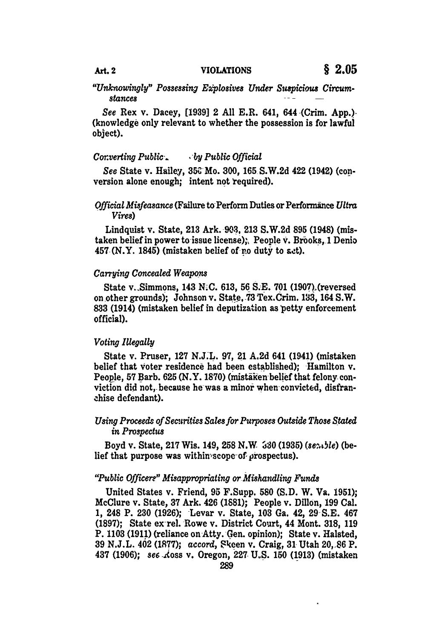# *"Unknowingly" Possessing E2plosives Under Suspidous Circumstances*

*See* Rex v. Dacey, **[1939]** 2 **All** E.R. 641, 644-(Crim. **App.)-** (knowledge only relevant to whether the possession is for lawful object).

# *Co.verting Public-. -by Public Official*

*See* State v. Hailey, 35C-Mo. **300, 165 S.W.2d** 422 (1942) (conversion alone enough; intent not required).

# *Official Misfeasance* (Failure to Perform Duties or Performance *Ultra Vires)*

Lindquist v. State, **213** Ark. **903. 213 S.W.2d 895** (1948) (mistaken belief in power to issue license);, People **v.** Brooks, 1 **Denio** 457 (N.Y. 1845) (mistaken belief of **r.o** duty to **act).**

### *Carrying Concealed Weapons*

State v.-Simmons, 143 **N.C. 613,** 56 **S.E. 701** (1907).(reversed on other grounds); Johnson v. State, **73** Tex.Crim. **133,** 164 S.W. **833** (1914) (mistaken belief in deputization as petty enforcement official).

### *Voting Illegally*

State v. Pruser, **127 N.J.L. 97,** 21 **A.2d** 641 (1941) (mistaken belief that Voter residence had been established); Hamilton v. People, 57 Barb. 625 (N.Y. 1870) (mistaken belief that felony conviction did not, because he was a minor when convicted, disfranzhise defendant).

# Using Proceeds of Securities Sales for Purposes Outside Those Stated *in Prospectus*

Boyd v. State, 217 Wis. 149, 258 N.W. 330 (1935) (sentle) (belief that purpose was within's cope of prospectus).

### *"Public Officere" Misappropriating or Mishandling Funds*

United States v. Friend, **95** F.Supp. **580 (S.D.** W. Va. **1951);** McClure v. State, **37** Ark. 426 **(1881);** People v. Dillon, **199** Cal. **1,** 248 P. **230 (1926);** Levar v. State, **103** Ga. 42, **29 S.E.** 467 **(1897);** State ex rel. Rowe v. District Court, 44 Mont. **318, 119** P. **1103 (1911)** (reliance on Atty. Gen. opinion); State v. Halsted, **39 N.J.L.** 402 **(1877);** *accord,* Rkeen v. Craig, **31** Utah **20,.86** P. 437 **(1906);** *see* Aoss v. Oregon, **227 U.S. 150 (1913)** (mistaken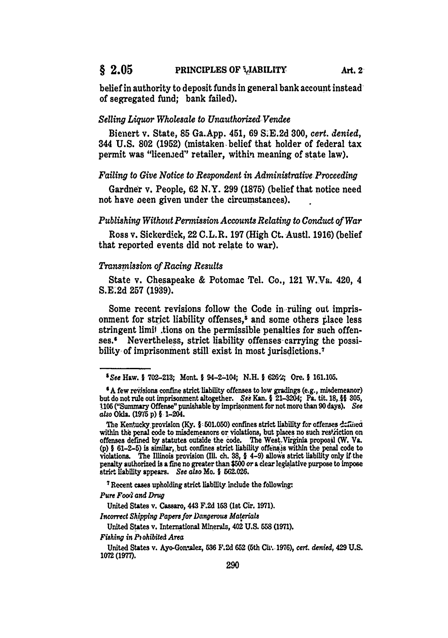belief in authority to deposit funds in general bank account instead of segregated fund; bank failed).

# *Selling Liquor Wholesale to Unauthorized Vendee*

Bienert v. State, **85** Ga.App. 451, **69 S.E.2d 300,** *cert. denied,* 344 **U.S. 802 (1952)** (mistaken, belief that holder of federal tax permit was "licen.ed" retailer, within meaning of state law).

# *Failing to Give Notice to Respondent in Administrative Proceeding*

Gardner v. People, **62** N.Y. **299 (1875)** (belief that notice need not have oeen given under the circumstances).

### *Publishing Without Permission Accounts Relating to Conduct of War*

Ross v. Sickerdick, 22 C.L.R. **197** (High Ct. Austl. **1916)** (belief that reported events did not relate to war).

#### *Transmission of Racing Results*

State v. Chesapeake **&** Potomac Tel. Co., 121 W.Va. 420, 4 **S.E.2d 257 (1939).**

Some recent revisions follow the Code in ruling out imprisonment for strict liability offenses,<sup>5</sup> and some others place less stringent limit tions on the permissible penalties for such offenses.' Nevertheless, strict liability offenses carrying the possibility of imprisonment still exist in most jurisdictions.<sup>7</sup>

**7** Recent cases upholding strict liability include the following-

*Pure Foo&1 and Drug*

United States v. Cassaro, 443 **F.2d 153** (let Cir. **1971).**

*Incorrect Shipping Papers for Dangerous Materials*

*<sup>\$</sup>See* Haw. **I 702-213;** Mont. **1** 94-2-104; **N.H. § 62-;** Ore. **§ 161.105.**

**<sup>\$</sup>A** few revsions confine strict liability offenses to low gradings (e.g., misdemeanor) but do not rule out imprisonment altogether. *See* Kan. **I 21-3204;** Pa. **tit. 18,-§§ 305, 1106** ("Summary Offense" punishable **by** imprisonment for not more than **90 days).** *See also* Okla. (1975 p) § 1-204.

The Kentucky provision (Ky. § 501.050) confines strict liability for offenses d:fined within the penal code to misdemeanors or violations, but places no such restriction on offenses defined by statutes outside the code. The West Virginia proposal (W. Va. **(p)** § **61-2-5)** is similar, but confines strict liability offensrs within the penal code to violations. The Illinois provision (Ill. ch. **38, §** 4-9) allo'ws strict liability only **If** the penalty authorized is **a** fine no greater than **\$500** *or* a clear legislative purpose to impose strict liability appears. *See also* Mo. § **562.026.**

United States v. International Minerals, **402 U.S. 558 (1971).**

*Fishing in Pohibited Area*

United States v. Ayo-Gonzalez, 536 F.2d 652 (5th Cir. 1976), cert. denied, 429 U.S. **1072 (1977).**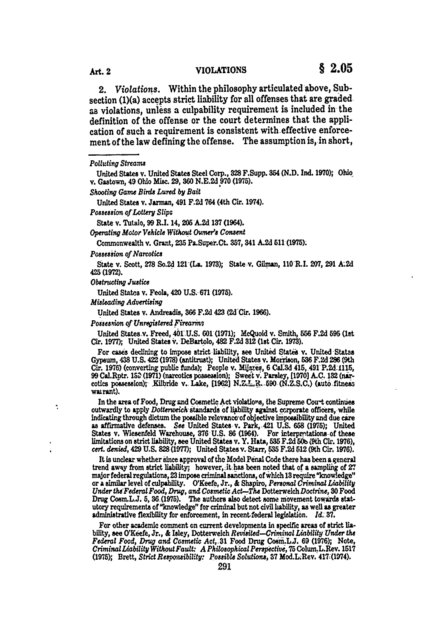2. *Violations.* Within the philosophy articulated above, Subsection (1)(a) accepts strict liability for **all** offenses that are graded as violations, unless a culpability requirement is included in the definition of the offense or the court determines that the application of such a requirement is consistent with-effective enforcement of the law defining the offense. The assumption is, in short,

United States v. Jarman, 491 F.2d 764 (4th Cir. 1974).

*Possession of Lottery Slip;*

State v. Tutalo, **99** R.I. 14, *205* **A.2d 137** (1964).

*Operating Motor Vehicle Without Owner's Consent*

Commonwealth v. Grant, 235 Pa.Super.Ct. 357, 341 A.2d 511 (1975).

*Possession of Narcotics*

State v. Scott, **278** So.2d 121 (La. **1973);** State v. Gilman, 110 R.I. **207,** 291 **A.2d 425(1972).**

*Obstructing Justice*

Ń

United States v. Feola, 420 **U.S. 671 (1975).**

*Misleading Advertising*

United States **v.** Andreadis, **36 F.2d** 423 **(3d** Cir. **1966).**

*Possesiion of Unregistered Firearr*

United States v. Freed, **401 U.S. 601-(1971);** McQuoid v. Smith, **556 F.2d 595 (lt** Cir. **1977);** United States V. DeBartolo, 482 **F.2d** 312 (1st Cir. **1973).**

For cases declining to impose strict liability, see United States v. United States Gypsum, 438 **U.S. 422 (1978)** (antitrust); United States v. Morrison, **536 F.2d 286** (9th Cir. **1976)** (converting public funds); People v. Mijaxes, **6** Ci.3d 415, 491 P.2d **1115, 99** Cal.Rptr. 15u **(1971)** (narcotics posseasion); Swet **v.** Parsley, **[1970]** A.C. 132 (niarcotics possesion); .Kilbride v. Lake, **[1962]** N.ZL. **690 (N.Z.S.C.)** (auto fitness wairant).

In the area of Food, Drug **and** Cosmetic Act violations, the Supreme **Cou-t** continues outwardly to apply *Dotterweich* standards of liability against corporate officers, while indicating through dictum the possible relevanco'of objective impossibility and due care **as** affirmative defenses. *See* United States v. Park, 421 **U.S. 658 (1975);** United States v. Wiesenfeld Warehouse, 376 U.S. 86 (1964). For interpretations of these limitations on-strict liability, see United States v. Y. Hata, 535 **F.2d 50b** (9th Cir. **1976),** *cert. denied,* 429 **U.S. 828 (1977);** United States v. Starr, **535 F.2d** 512 (9th Cir. **1976).**

It is unclear whether since approval of **tho** Model Penal Code there has been a general trend away from strict liability; however, it has been noted that of a sampling of 27 major federal regulations, **23** impose criminal sanctions, of which **13** require "knowledge" or a **similar** level of culpability. O'Keefe, Jr., & Shapiro, *Personal Criminal Liability Under the-Federal Food, Drug, and Cometic Act-The* Dotterweich *Doctrine,* **30** Food Drug Cosm.L.J. 5, 36 (1975). The authors also detect some movement towards statutory requirements of "knowledge" for criminal but not civil liability, **as** well **as** greater administrative flexibility for enforcement, in recent-federal legielation. *Id.* **37.**

For other academic comment on current developments in specific areas of strict liability, see O'Keefe, Jr., **&** Iuley, Dotterweich *Revisited-Criminal Liability Under the Federal Food, Drug and Cosmetic Act, 31 Food Drug Cosm.LJ. 69 (1976); Note, Criminal Liability Without Fault: A Philosophical Perspective, 75 Colum.L.Rev. 1517* **(1975);** Brett, *Strict Responiblity: Possible Solutions,* **37** Mod.L.Rev. 417;(1974).

*PoU ting Streams*

United States v. United States Steel Corp., **328** F.Supp. **354 (N.D. Ind. 1970);** Ohio v. Gastown, 49 Ohio Misc. **29, 360 N.E.2d 970 (1975).**

*Shooting Game Birds Lured by Bait*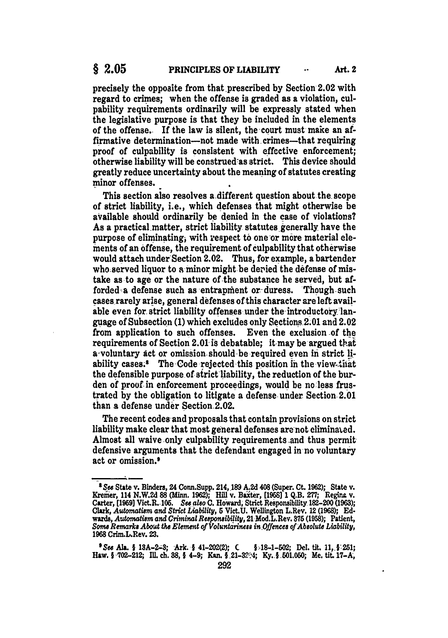precisely the opposite from that prescribed **by** Section 2.02 with regard to crimes; when the offense is graded as a violation, culpability requirements ordinarily will be expressly stated when the legislative purpose is that they be included in the elements of the offense. If the law is silent, the court must make an affirmative determination—not made with crimes—that requiring proof of culpability is consistent with effective enforcement; otherwise liability will be construed-as strict. This device should greatly reduce uncertainty about the meaning of statutes creating minor offenses.

This section aiso resolves a-different question about the scope of strict liability, i.e., which defenses that might otherwise be available should ordinarily be denied in the case of violations? As a practical matter, strict liability statutes generally have the purpose of eliminating, with respect to one or more material elements of an offense, the requirement of culpability that otherwise would attach under-Section 2.02. Thus, for example, a bartender who served liquor to a minor might-be deried the defense of mistake as to age or the nature of the substance he served, but **af**forded a defense such as entrapment or duress. Though-such cases rarely arise, general defenses of this character are left available even for strict liability offenses under the introductory language of Subsection **(1)** which excludes only Sections2.01 and 2.02 from application to such offenses. Even the exclusion of the requirements of Section 2.01 is debatable; it may be argued that a voluntary act or omission should be required even in strict liability cases.<sup>8</sup> The Code rejected this position in the view-that the defensible purpose of strict liability, the reduction of the burden **of** proof in enforcement proceedings, would be no less frustrated **by** the obligation to litigate a defense under Section 2.01 than **a** defense under Section 2.02.

The recent codes-and proposals that contain provisions on strict liability make clear that most general defenses are not eliminated. Almost all waive only culpability requirements .and thus permit defensive arguments that the defendant engaged in no voluntary act or omission.'

*<sup>-</sup>See* State v. Binders, 24 Conn.Supp. 214, **189 A.2d** 408 (Super. **Ct. 1962);** State v. Kremer, 114 N.W.2d 88 (Minn. 1962); Hill v. Baxter, [1958] 1 Q.B. 277; Regina v. Carter, [1969] Vict.R. 105. See also C. Howard, Strict Responsibility 182-200 (1963) Clark, *Automatism and Strict Liability*, 5 Vict.U. Wellington L.Rev. 12 (1968); Edwards, *Automatism and Criminal Remponsibility,* 21 Mod.L.Rev. **875 (1958);** Patient, Some Remarks About the Element of Voluntariness in Offences of Absolute Liability, **1968** Crim.L.Rev. **23.**

*<sup>9</sup>e Ala.* **I 13A-2-3;** Ark. **§** 41-202(2); C **§J-18-1-502;** Del. tit. *11,* **+251;** Haw. § **702-212; Ill. ch. 38,** § 4-9; Kan. I 21-34; **Ky.** § **501.060;** Me. **tit. 17-A,**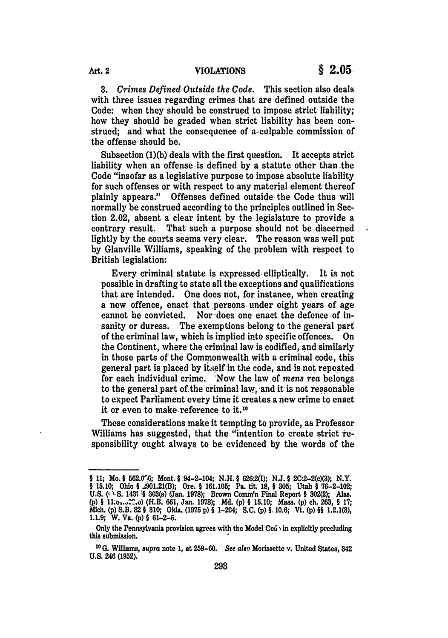**3.** *Crimes-Defined Outside the Code.* This section also deals with three issues regarding crimes that are defined outside the Code: when they should be construed to impose strict liability; how they should be graded when strict liability has been construed; and what the consequence of a culpable commission of the offense should be.

Subsection **(1)(b)** deals with the first question. It accepts strict liability when an offense is defined **by** a statute other than the Code "insofar as a legislative purpose to impose absolute liability for such offenses or with respect to any material element thereof plainly appears." Offenses defined outside the Code thus will normally be construed according to the principles outlined in Section 2.02, absent a clear intent **by** the legislature to provide a contrary result. That such a purpose should not be discerned lightly by the courts seems very clear. The reason was well put **by** Glanville Williams, speaking of the problem with respect to British legislation:

Every criminal statute is expressed elliptically. It is not possible in drafting to state all the exceptions and qualifications that are intended. One does not, for instance, when creating a new offence, enact that persons under eight years of age cannot be convicted. Nor-does one enact the defence of insanity or duress. The exemptions belong to the general part of the criminal law, which is implied into specific offences. On the Continent, where the criminal law is codified, and similarly in those parts of the Commonwealth with a criminal code, this general part is placed **by** itself in the code, and is not repeated for each individual crime. 'Now the law of *mens* rea belongs to the general part of the criminal law, and it is not reasonable to expect Parliament every time it creates a new crime **to** enact it or even to make reference to it.1"

These considerations make it tempting to provide, as Professor Williams has suggested, that the "intention to create strict responsibility ought always to **be** evidenced **by** the words of the

**<sup>§ 11;</sup>** Mo. **§** 562.0'6; Mont. **§ 94-2-104; N.H. § 626"2(I); NJ. § 2C'2-2(c)(8); N.Y. § 15.10;** Ohio **§** .4901.21(B); Ore. **1 161.105;** Pa. tit. **18, § 305;** Utah **§ 76-2-102; U.S. (z S.** 1431 **§ 303(a)** (Jan. **1978);** Brown Conum'n Final Report-§ 302(2); Alas. **(p) § I** (H.B. **661,** Jan. **1978); Md. (p) § 15.10;** Mass. (p) ch. **263, § 17;** Mich. **(p)** S.B. **82** § **310;** Okla. **(1975 p)** § 1-204; **S.C. (p) 0, 10.6; Vt. (p) §1 1.2.1(3), 1.1.9;** W. Va. **(p)** § **61-2-5.**

Only the Pennsylvania provision agrees with the Model **Cod** in explicitly precluding this submission.

<sup>&</sup>lt;sup>10</sup> G. Williams, *supra* note 1, at 259-60. See also Morissette v. United States, 342 **U.S.** 246 **(1952).**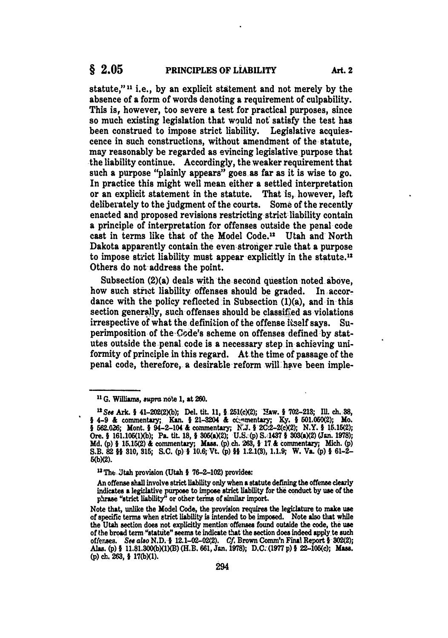statute,"" i.e., **by** an explicit statement and not merely **by** the absence of a form of words denoting a requirement of culpability. This is, however, too severe a test for practical purposes, since so much existing legislation that would **not** satisfy the test has been construed to impose strict liability. Legislative acquiescence in such constructions, without amendment of the statute, may reasonably be regarded as evincing legislative purpose that the liability continue. Accordingly, the weaker requirement that such **a** purpose "plainly appears" goes as far as it is wise to go. In practice this might well mean either a settled interpretation or an explicit statement in the statute. That is, however, left deliberately to the judgment of the courts. Some of the recently enacted and proposed revisions restricting strict liability contain a principle of interpretation for offenses outside the penal code cast in terms like that of the Model Code.<sup>12</sup> Utah and North Dakota apparently contain the even-stroiger rule that a purpose to impose strict liability must appear explicitly in the statute.<sup>12</sup> Others do not address the point.

Subsection (2)(a) deals with the second question noted above, how such strict liability offenses should be graded. In accordance with the policy reflected in Subsection (1)(a), and in **this** section generally, such offenses should be classified as violations irrespective of what the definition of the offense itself says. Superimposition of the. Code's scheme on offenses defined **by** statutes outside the penal code is a necessary step in achieving uniformity of principle in this regard. At the time of passage of the penal code, therefore, a desirable reform will have been imple-

<sup>&</sup>lt;sup>11</sup> G. Williams, supra note 1, at 260.

<sup>&</sup>lt;sup>12</sup> See Ark. § 41-202(2)(b); Del. tit. 11, § 251(c)(2); Haw. § 702-213; Ill. ch. 88, **J 562.026;** Mont. § 94-2-104 **&** commentary; **K'.J.** 12C'2-2(X2); N.Y. **1** 15.15(2); Ore. **I 161.105(lXb);** Pa. tit. **18, § 305(aX2); U.S. (p) S.1437** i **303(aX2)** (Jan. **1978); Md.** (p) § 15.15(2) & commentary; Mass. (p) ch. 263, § 17 & commentary; Mich. (p) S.B. **82** §§ **310, 316; S.C. (p)-i** 10.6; **Vt. (p) if 1.2.1(8), 1.1.9;** W. Va. **(p) 1 61-2- 5(bX2).**

**<sup>1</sup> The** ZJtah provision (Utah **I 76-2-102)** provides:

An offense shall involve strict liability only when a statute defining the offense clearly indicates **a** legiclative purpose to impose strict liability for the conduct **by** use of the phrase "strict liability" or other terms of similar import.

Note that, unlike the Model Code, the provision requires the legiclature to make use of specific terms when strict liability is intended to be imposed. Note also that while the Utah section does not explicitly mention offenses found outside the code, the use of the broad term "statute" seems te indicate that the section does indeed apply te such offenses. **See** *aso* N.D. § 12.1-02-02(2). **Cf.** Brown Comm'n Final Report § 302(2); **Alas. (p)** § 11.81.300(bXIXB) (H.B. **661,** Jan. **1978); D.C. (1977 p) 1** 22-105(c); Mass. **(p)** ch. **263,** § **17(bXl).**